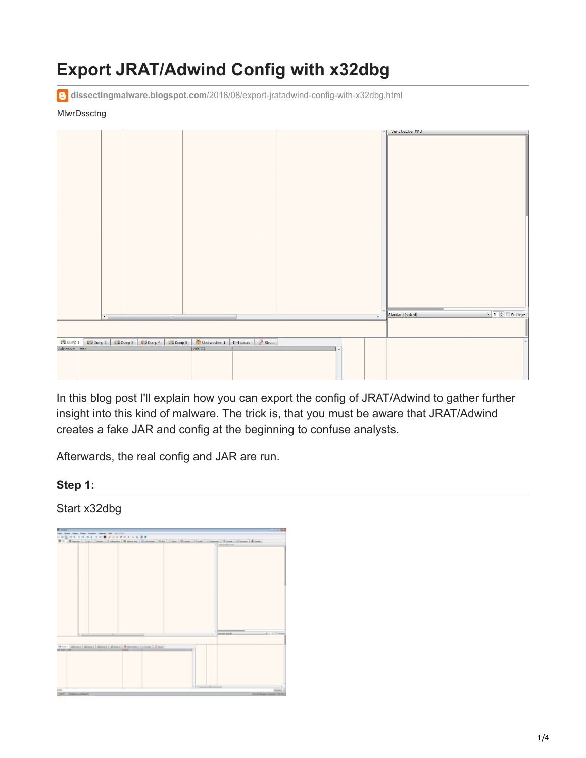# **Export JRAT/Adwind Config with x32dbg**

**dissectingmalware.blogspot.com**[/2018/08/export-jratadwind-config-with-x32dbg.html](https://dissectingmalware.blogspot.com/2018/08/export-jratadwind-config-with-x32dbg.html)

#### **MlwrDssctng**



In this blog post I'll explain how you can export the config of JRAT/Adwind to gather further insight into this kind of malware. The trick is, that you must be aware that JRAT/Adwind creates a fake JAR and config at the beginning to confuse analysts.

Afterwards, the real config and JAR are run.

#### **Step 1:**

#### Start x32dbg

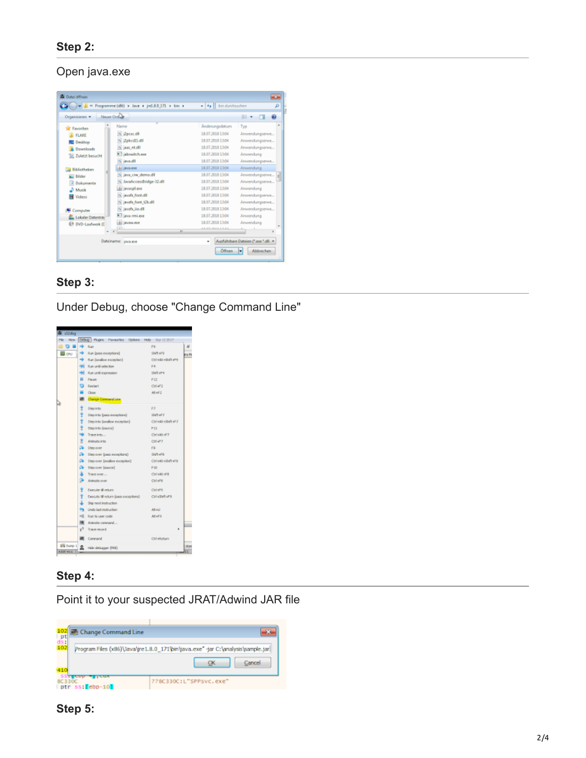#### Open java.exe

|                           | 41 Programme (d6) > Java > jrc1.8.0.171 > bin > | $-4$ $-6$ in durchauchen          | ø                      |  |  |  |
|---------------------------|-------------------------------------------------|-----------------------------------|------------------------|--|--|--|
| Organizieren w            | <b>Neuer Ordule</b>                             |                                   | 81<br>-01<br>$\sim$    |  |  |  |
| <b>SP Favoriten</b>       | Name                                            | Änderungsdatum                    | Typ                    |  |  |  |
| <b>IL FLARE</b>           | % Recycle                                       | 18.07.2008 13:04                  | Anwendungserwe         |  |  |  |
| Desktop                   | 6 PakesHall                                     | 18.07.2008 12:04                  | Anwendungserwe         |  |  |  |
| <b>B</b> Downloads        | <sup>(a)</sup> jaas et dit                      | 18.07.2018 13.04                  | Anwendungserwe         |  |  |  |
| Sil Zuletzt besucht       | abovitch.ear                                    | 18.07.2008 13:04                  | Anvendung              |  |  |  |
|                           | % java.dll                                      | 18.07.2008 13:04                  | Anwendungserwe         |  |  |  |
| <b>Bibliotheken</b>       | del java.exe                                    | 18.07.2018 13:04                  | Anwendung              |  |  |  |
| <b>Bilder</b>             | <sup>(6)</sup> java crw demo.dll                | 18.07.2018 13:04                  | Anwendungserwe         |  |  |  |
| <sup>2</sup> Dokumente    | % JavaAccessBridge-12.dll                       | 18.07.2008 13:04                  | Anwendungserwe         |  |  |  |
| Munik                     | All javacpl.exe                                 | 18.07.2018 13:04                  | Anwendung              |  |  |  |
| Videos                    | % javats font dil                               | 18.07.2008 13:04                  | Anwendungserwe         |  |  |  |
|                           | % javats font tilk.dll                          | 18.07.2008 13:04                  | Anwendungserwe         |  |  |  |
| <b>N</b> Computer         | % javah: ilo.dll                                | 18.07.2008 12:04                  | Anwendungserwe         |  |  |  |
| Lokaler Datenträr         | <b>El java-mi.ox</b>                            | 18.07.2018 13:04                  | Anwendung              |  |  |  |
| <b>C</b> DVD-Laufwerk (C) | di javan.com                                    | 18.07.2008 13:04                  | Anvendung              |  |  |  |
|                           | 23.<br>$\overline{ }$                           | <b><i>LA ATLANTACIÓN</i></b>      |                        |  |  |  |
|                           | Dateiname: java.exe                             | Audührbare Dateien (".cos ".dll - |                        |  |  |  |
|                           |                                                 | Öffnen                            | <b>Abbrechen</b><br>l÷ |  |  |  |

#### **Step 3:**

Under Debug, choose "Change Command Line"



#### **Step 4:**

Point it to your suspected JRAT/Adwind JAR file



#### **Step 5:**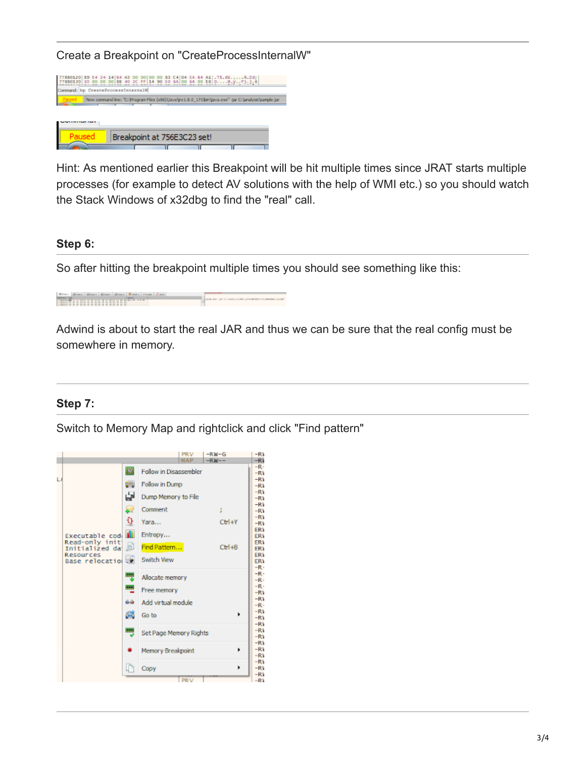Create a Breakpoint on "CreateProcessInternalW"

| '880120 89 54 24 14 64 A3 00 00 00 00 83 C4 04 5A 64 A1 .TS.dfA.Zdi<br>(680130 30 00 00 00 68 40 20 FF 14 90 50 6A 00 6A 00 EB 0@,yFj.j.è |                                                                                                         |  |                             |  |  |  |  |
|-------------------------------------------------------------------------------------------------------------------------------------------|---------------------------------------------------------------------------------------------------------|--|-----------------------------|--|--|--|--|
| Command: bp CreateProcessInternalW                                                                                                        |                                                                                                         |  |                             |  |  |  |  |
|                                                                                                                                           | New command line: "C: Program Files (x86)\Javalgre 1.8.0_171\bin\java.exe" -jar C: \analysis\sample.jar |  |                             |  |  |  |  |
|                                                                                                                                           |                                                                                                         |  |                             |  |  |  |  |
|                                                                                                                                           |                                                                                                         |  |                             |  |  |  |  |
|                                                                                                                                           |                                                                                                         |  |                             |  |  |  |  |
|                                                                                                                                           |                                                                                                         |  |                             |  |  |  |  |
|                                                                                                                                           |                                                                                                         |  |                             |  |  |  |  |
|                                                                                                                                           |                                                                                                         |  |                             |  |  |  |  |
|                                                                                                                                           |                                                                                                         |  | Breakpoint at 756E3C23 set! |  |  |  |  |

Hint: As mentioned earlier this Breakpoint will be hit multiple times since JRAT starts multiple processes (for example to detect AV solutions with the help of WMI etc.) so you should watch the Stack Windows of x32dbg to find the "real" call.

#### **Step 6:**

So after hitting the breakpoint multiple times you should see something like this:

| When I direct direct direct direct Black ( Ham   Jing )                                                                                                                                                                                                                                                                                                                       |                                                                  |
|-------------------------------------------------------------------------------------------------------------------------------------------------------------------------------------------------------------------------------------------------------------------------------------------------------------------------------------------------------------------------------|------------------------------------------------------------------|
| <b>ARRIVER TWO</b><br><b>CONTRACTOR CONTRACTOR DE LA CARDINALE DE LA CARDINALE DE LA CARDINALE DE LA CARDINALE DE LA CARDINALE DE LA CA</b><br>I handled the set of the set of the set of the set of the set of the set of the set of the set of the set of the set of the set of the set of the set of the set of the set of the set of the set of the set of the set of the | A series are the Column of Auto Communication independent of the |

Adwind is about to start the real JAR and thus we can be sure that the real config must be somewhere in memory.

#### **Step 7:**

Switch to Memory Map and rightclick and click "Find pattern"